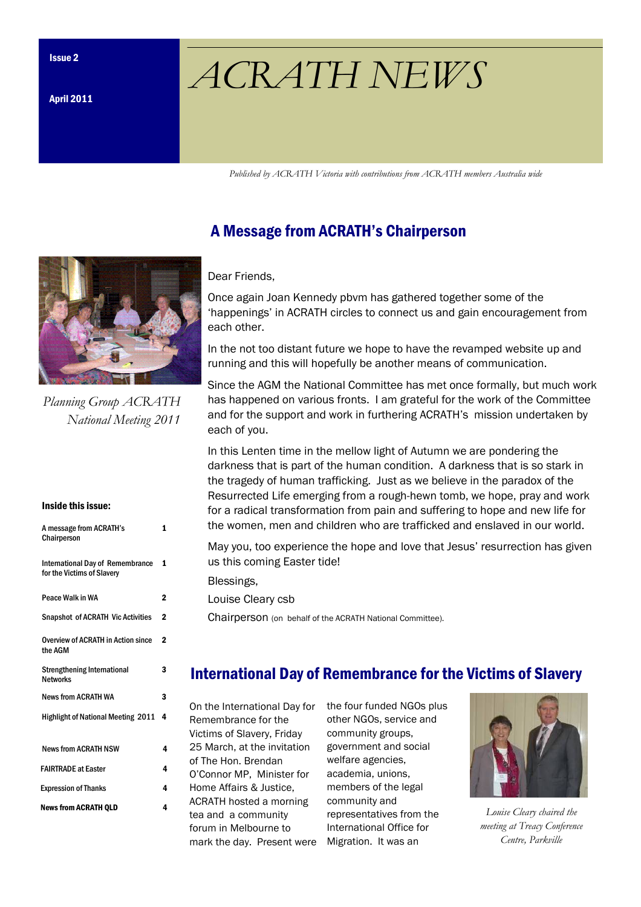# $ACRATH NEWS$

Published by ACRATH Victoria with contributions from ACRATH members Australia wide

# A Message from ACRATH's Chairperson

#### Dear Friends,

Once again Joan Kennedy pbvm has gathered together some of the 'happenings' in ACRATH circles to connect us and gain encouragement from each other.

In the not too distant future we hope to have the revamped website up and running and this will hopefully be another means of communication.

Since the AGM the National Committee has met once formally, but much work has happened on various fronts. I am grateful for the work of the Committee and for the support and work in furthering ACRATH's mission undertaken by each of you.

In this Lenten time in the mellow light of Autumn we are pondering the darkness that is part of the human condition. A darkness that is so stark in the tragedy of human trafficking. Just as we believe in the paradox of the Resurrected Life emerging from a rough-hewn tomb, we hope, pray and work for a radical transformation from pain and suffering to hope and new life for the women, men and children who are trafficked and enslaved in our world.

May you, too experience the hope and love that Jesus' resurrection has given us this coming Easter tide!

Blessings,

Louise Cleary csb

Chairperson (on behalf of the ACRATH National Committee).

# International Day of Remembrance for the Victims of Slavery

On the International Day for Remembrance for the Victims of Slavery, Friday 25 March, at the invitation of The Hon. Brendan O'Connor MP, Minister for Home Affairs & Justice, ACRATH hosted a morning tea and a community forum in Melbourne to mark the day. Present were Migration. It was an

the four funded NGOs plus other NGOs, service and community groups, government and social welfare agencies, academia, unions, members of the legal community and representatives from the International Office for



Louise Cleary chaired the meeting at Treacy Conference Centre, Parkville



Planning Group ACRATH National Meeting 2011

#### Inside this issue:

| A message from ACRATH's<br>Chairperson                                | 1           |
|-----------------------------------------------------------------------|-------------|
| <b>International Day of Remembrance</b><br>for the Victims of Slavery | 1           |
| Peace Walk in WA                                                      | 2           |
| <b>Snapshot of ACRATH Vic Activities</b>                              | $\mathbf 2$ |
| <b>Overview of ACRATH in Action since</b><br>the AGM                  | $\mathbf 2$ |
| <b>Strengthening International</b><br><b>Networks</b>                 | 3           |
| <b>News from ACRATH WA</b>                                            | 3           |
| <b>Highlight of National Meeting 2011</b>                             | 4           |
| <b>News from ACRATH NSW</b>                                           | 4           |
| <b>FAIRTRADE at Easter</b>                                            | 4           |
| <b>Expression of Thanks</b>                                           | 4           |
| <b>News from ACRATH OLD</b>                                           | 4           |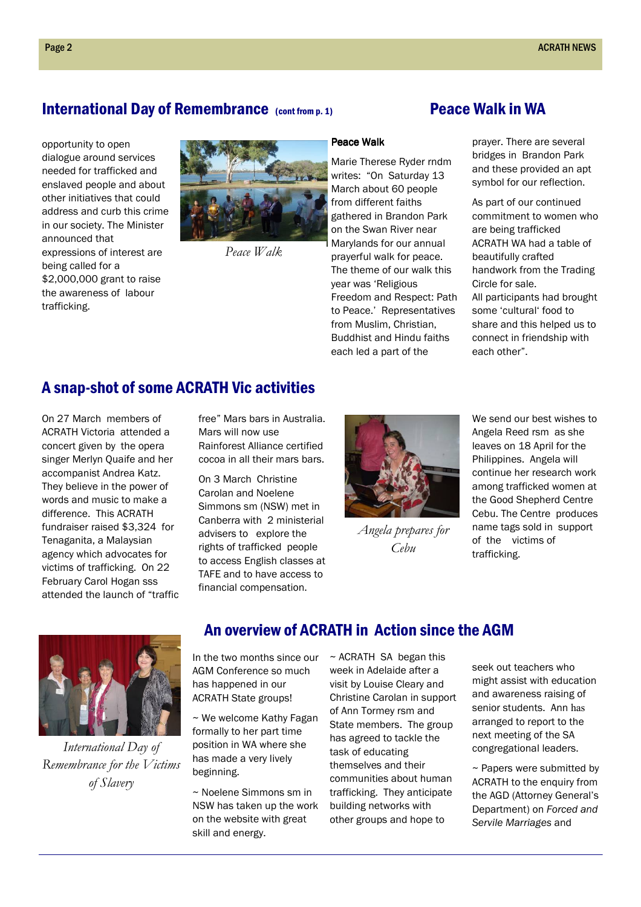#### International Day of Remembrance (cont from p. 1) Peace Walk in WA

opportunity to open dialogue around services needed for trafficked and enslaved people and about other initiatives that could address and curb this crime in our society. The Minister announced that expressions of interest are being called for a \$2,000,000 grant to raise the awareness of labour trafficking.



Peace Walk

prayer. There are several bridges in Brandon Park and these provided an apt symbol for our reflection.

As part of our continued commitment to women who are being trafficked ACRATH WA had a table of beautifully crafted handwork from the Trading Circle for sale. All participants had brought some 'cultural' food to share and this helped us to connect in friendship with each other".

### A snap-shot of some ACRATH Vic activities

On 27 March members of ACRATH Victoria attended a concert given by the opera singer Merlyn Quaife and her accompanist Andrea Katz. They believe in the power of words and music to make a difference. This ACRATH fundraiser raised \$3,324 for Tenaganita, a Malaysian agency which advocates for victims of trafficking. On 22 February Carol Hogan sss attended the launch of "traffic free" Mars bars in Australia. Mars will now use Rainforest Alliance certified cocoa in all their mars bars.

On 3 March Christine Carolan and Noelene Simmons sm (NSW) met in Canberra with 2 ministerial advisers to explore the rights of trafficked people to access English classes at TAFE and to have access to financial compensation.



prayerful walk for peace. The theme of our walk this

Freedom and Respect: Path to Peace.' Representatives from Muslim, Christian, Buddhist and Hindu faiths each led a part of the

year was 'Religious

Angela prepares for Cebu

We send our best wishes to Angela Reed rsm as she leaves on 18 April for the Philippines. Angela will continue her research work among trafficked women at the Good Shepherd Centre Cebu. The Centre produces name tags sold in support of the victims of trafficking.



International Day of Remembrance for the Victims of Slavery

#### An overview of ACRATH in Action since the AGM

In the two months since our AGM Conference so much has happened in our ACRATH State groups!

~ We welcome Kathy Fagan formally to her part time position in WA where she has made a very lively beginning.

~ Noelene Simmons sm in NSW has taken up the work on the website with great skill and energy.

 $\sim$  ACRATH SA began this week in Adelaide after a visit by Louise Cleary and Christine Carolan in support of Ann Tormey rsm and State members. The group has agreed to tackle the task of educating themselves and their communities about human trafficking. They anticipate building networks with other groups and hope to

seek out teachers who might assist with education and awareness raising of senior students. Ann has arranged to report to the next meeting of the SA congregational leaders.

~ Papers were submitted by ACRATH to the enquiry from the AGD (Attorney General's Department) on Forced and Servile Marriages and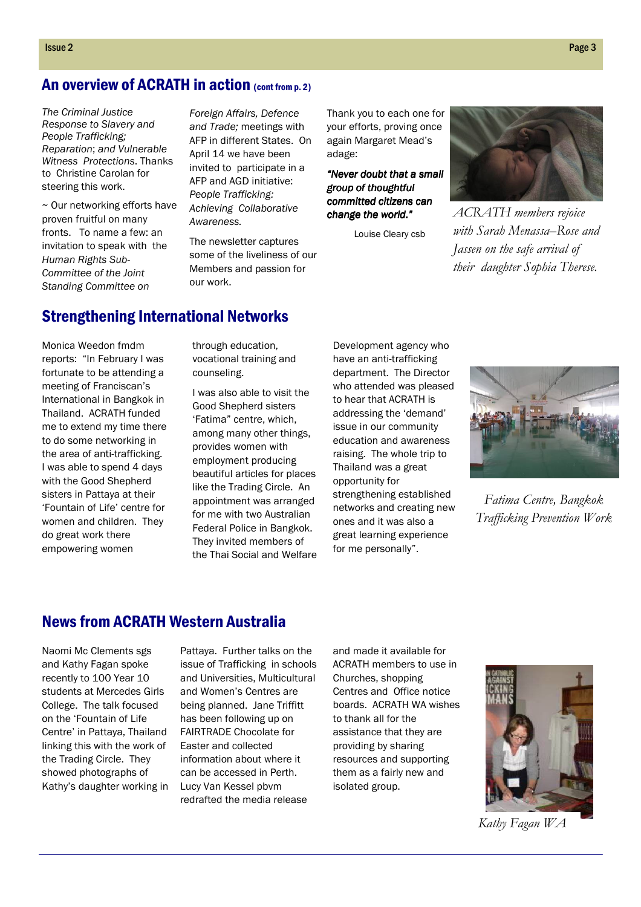#### An overview of ACRATH in action (cont from p. 2)

The Criminal Justice Response to Slavery and People Trafficking; Reparation; and Vulnerable Witness Protections. Thanks to Christine Carolan for steering this work.

~ Our networking efforts have proven fruitful on many fronts. To name a few: an invitation to speak with the Human Rights Sub-Committee of the Joint Standing Committee on

Foreign Affairs, Defence and Trade; meetings with AFP in different States. On April 14 we have been invited to participate in a AFP and AGD initiative: People Trafficking: Achieving Collaborative **Awareness** 

The newsletter captures some of the liveliness of our Members and passion for our work.

Thank you to each one for your efforts, proving once again Margaret Mead's adage:

"Never doubt that a small group of thoughtful committed citizens can change the world."

Louise Cleary csb



ACRATH members rejoice with Sarah Menassa–Rose and Jassen on the safe arrival of their daughter Sophia Therese.

# Strengthening International Networks

Monica Weedon fmdm reports: "In February I was fortunate to be attending a meeting of Franciscan's International in Bangkok in Thailand. ACRATH funded me to extend my time there to do some networking in the area of anti-trafficking. I was able to spend 4 days with the Good Shepherd sisters in Pattaya at their 'Fountain of Life' centre for women and children. They do great work there empowering women

through education, vocational training and counseling.

I was also able to visit the Good Shepherd sisters 'Fatima" centre, which, among many other things, provides women with employment producing beautiful articles for places like the Trading Circle. An appointment was arranged for me with two Australian Federal Police in Bangkok. They invited members of the Thai Social and Welfare

Development agency who have an anti-trafficking department. The Director who attended was pleased to hear that ACRATH is addressing the 'demand' issue in our community education and awareness raising. The whole trip to Thailand was a great opportunity for strengthening established networks and creating new ones and it was also a great learning experience for me personally".



Fatima Centre, Bangkok Trafficking Prevention Work

#### News from ACRATH Western Australia

Naomi Mc Clements sgs and Kathy Fagan spoke recently to 100 Year 10 students at Mercedes Girls College. The talk focused on the 'Fountain of Life Centre' in Pattaya, Thailand linking this with the work of the Trading Circle. They showed photographs of Kathy's daughter working in

Pattaya. Further talks on the issue of Trafficking in schools and Universities, Multicultural and Women's Centres are being planned. Jane Triffitt has been following up on FAIRTRADE Chocolate for Easter and collected information about where it can be accessed in Perth. Lucy Van Kessel pbvm redrafted the media release

and made it available for ACRATH members to use in Churches, shopping Centres and Office notice boards. ACRATH WA wishes to thank all for the assistance that they are providing by sharing resources and supporting them as a fairly new and isolated group.



Kathy Fagan WA